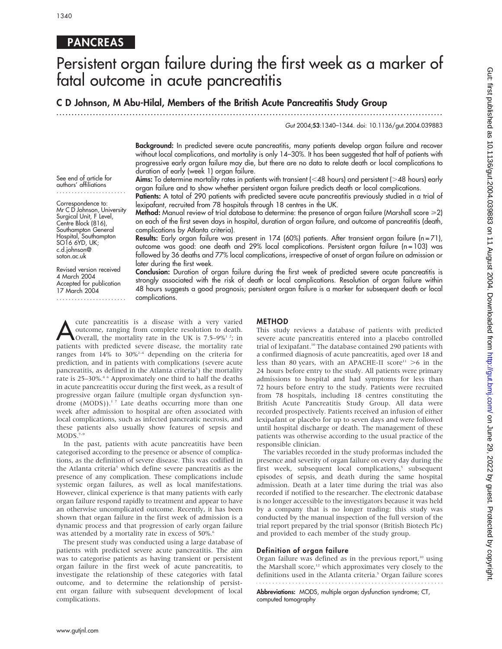# **PANCREAS**

# Persistent organ failure during the first week as a marker of fatal outcome in acute pancreatitis

### C D Johnson, M Abu-Hilal, Members of the British Acute Pancreatitis Study Group

...............................................................................................................................

Gut 2004;53:1340–1344. doi: 10.1136/gut.2004.039883

Background: In predicted severe acute pancreatitis, many patients develop organ failure and recover without local complications, and mortality is only 14–30%. It has been suggested that half of patients with progressive early organ failure may die, but there are no data to relate death or local complications to duration of early (week 1) organ failure.

See end of article for authors' affiliations .......................

Correspondence to: Mr C D Johnson, University Surgical Unit, F Level, Centre Block (816), Southampton General Hospital, Southampton SO16 6YD, UK; c.d.johnson@ soton.ac.uk

Revised version received 4 March 2004 Accepted for publication 17 March 2004 ....................... Aims: To determine mortality rates in patients with transient ( $<$ 48 hours) and persistent ( $>$ 48 hours) early organ failure and to show whether persistent organ failure predicts death or local complications.

Patients: A total of 290 patients with predicted severe acute pancreatitis previously studied in a trial of lexipafant, recruited from 78 hospitals through 18 centres in the UK.

Method: Manual review of trial database to determine: the presence of organ failure (Marshall score  $\geq$ 2) on each of the first seven days in hospital, duration of organ failure, and outcome of pancreatitis (death, complications by Atlanta criteria).

Results: Early organ failure was present in 174 (60%) patients. After transient organ failure (n=71), outcome was good: one death and 29% local complications. Persistent organ failure (n = 103) was followed by 36 deaths and 77% local complications, irrespective of onset of organ failure on admission or later during the first week.

Conclusion: Duration of organ failure during the first week of predicted severe acute pancreatitis is strongly associated with the risk of death or local complications. Resolution of organ failure within 48 hours suggests a good prognosis; persistent organ failure is a marker for subsequent death or local complications.

Lute pancreatitis is a disease with a very varied<br>
outcome, ranging from complete resolution to death.<br>
Overall, the mortality rate in the UK is 7.5–9%<sup>12</sup>; in outcome, ranging from complete resolution to death. patients with predicted severe disease, the mortality rate ranges from  $14\%$  to  $30\%^{2-4}$  depending on the criteria for prediction, and in patients with complications (severe acute pancreatitis, as defined in the Atlanta criteria<sup>5</sup>) the mortality rate is 25-30%.<sup>46</sup> Approximately one third to half the deaths in acute pancreatitis occur during the first week, as a result of progressive organ failure (multiple organ dysfunction syndrome  $(MODS)$ ).<sup>17</sup> Late deaths occurring more than one week after admission to hospital are often associated with local complications, such as infected pancreatic necrosis, and these patients also usually show features of sepsis and  $MODS.^{7-9}$ 

In the past, patients with acute pancreatitis have been categorised according to the presence or absence of complications, as the definition of severe disease. This was codified in the Atlanta criteria<sup>5</sup> which define severe pancreatitis as the presence of any complication. These complications include systemic organ failures, as well as local manifestations. However, clinical experience is that many patients with early organ failure respond rapidly to treatment and appear to have an otherwise uncomplicated outcome. Recently, it has been shown that organ failure in the first week of admission is a dynamic process and that progression of early organ failure was attended by a mortality rate in excess of 50%.<sup>6</sup>

The present study was conducted using a large database of patients with predicted severe acute pancreatitis. The aim was to categorise patients as having transient or persistent organ failure in the first week of acute pancreatitis, to investigate the relationship of these categories with fatal outcome, and to determine the relationship of persistent organ failure with subsequent development of local complications.

#### METHOD

This study reviews a database of patients with predicted severe acute pancreatitis entered into a placebo controlled trial of lexipafant.<sup>10</sup> The database contained 290 patients with a confirmed diagnosis of acute pancreatitis, aged over 18 and less than 80 years, with an APACHE-II score<sup>11</sup>  $>6$  in the 24 hours before entry to the study. All patients were primary admissions to hospital and had symptoms for less than 72 hours before entry to the study. Patients were recruited from 78 hospitals, including 18 centres constituting the British Acute Pancreatitis Study Group. All data were recorded prospectively. Patients received an infusion of either lexipafant or placebo for up to seven days and were followed until hospital discharge or death. The management of these patients was otherwise according to the usual practice of the responsible clinician.

The variables recorded in the study proformas included the presence and severity of organ failure on every day during the first week, subsequent local complications,<sup>5</sup> subsequent episodes of sepsis, and death during the same hospital admission. Death at a later time during the trial was also recorded if notified to the researcher. The electronic database is no longer accessible to the investigators because it was held by a company that is no longer trading: this study was conducted by the manual inspection of the full version of the trial report prepared by the trial sponsor (British Biotech Plc) and provided to each member of the study group.

#### Definition of organ failure

Organ failure was defined as in the previous report, $10$  using the Marshall score,<sup>12</sup> which approximates very closely to the definitions used in the Atlanta criteria.<sup>5</sup> Organ failure scores 

Abbreviations: MODS, multiple organ dysfunction syndrome; CT, computed tomography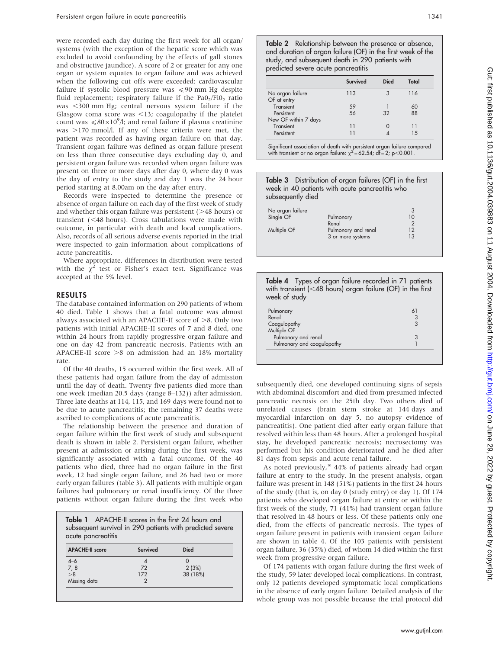were recorded each day during the first week for all organ/ systems (with the exception of the hepatic score which was excluded to avoid confounding by the effects of gall stones and obstructive jaundice). A score of 2 or greater for any one organ or system equates to organ failure and was achieved when the following cut offs were exceeded: cardiovascular failure if systolic blood pressure was  $\leq 90$  mm Hg despite fluid replacement; respiratory failure if the  $PaO<sub>2</sub>/FiO<sub>2</sub>$  ratio was  $\leq$ 300 mm Hg; central nervous system failure if the Glasgow coma score was  $\leq$ 13; coagulopathy if the platelet count was  $\leq 80 \times 10^9$ /l; and renal failure if plasma creatinine was  $>170$  mmol/l. If any of these criteria were met, the patient was recorded as having organ failure on that day. Transient organ failure was defined as organ failure present on less than three consecutive days excluding day 0, and persistent organ failure was recorded when organ failure was present on three or more days after day 0, where day 0 was the day of entry to the study and day 1 was the 24 hour period starting at 8.00am on the day after entry.

Records were inspected to determine the presence or absence of organ failure on each day of the first week of study and whether this organ failure was persistent  $($  >48 hours) or transient  $(<$  48 hours). Cross tabulations were made with outcome, in particular with death and local complications. Also, records of all serious adverse events reported in the trial were inspected to gain information about complications of acute pancreatitis.

Where appropriate, differences in distribution were tested with the  $\chi^2$  test or Fisher's exact test. Significance was accepted at the 5% level.

#### RESULTS

The database contained information on 290 patients of whom 40 died. Table 1 shows that a fatal outcome was almost always associated with an APACHE-II score of  $>8$ . Only two patients with initial APACHE-II scores of 7 and 8 died, one within 24 hours from rapidly progressive organ failure and one on day 42 from pancreatic necrosis. Patients with an APACHE-II score  $>8$  on admission had an 18% mortality rate.

Of the 40 deaths, 15 occurred within the first week. All of these patients had organ failure from the day of admission until the day of death. Twenty five patients died more than one week (median 20.5 days (range 8–132)) after admission. Three late deaths at 114, 115, and 169 days were found not to be due to acute pancreatitis; the remaining 37 deaths were ascribed to complications of acute pancreatitis.

The relationship between the presence and duration of organ failure within the first week of study and subsequent death is shown in table 2. Persistent organ failure, whether present at admission or arising during the first week, was significantly associated with a fatal outcome. Of the 40 patients who died, three had no organ failure in the first week, 12 had single organ failure, and 26 had two or more early organ failures (table 3). All patients with multiple organ failures had pulmonary or renal insufficiency. Of the three patients without organ failure during the first week who

Table 1 APACHE-II scores in the first 24 hours and subsequent survival in 290 patients with predicted severe acute pancreatitis

| <b>APACHE-II score</b> | Survived | <b>Died</b> |
|------------------------|----------|-------------|
| $4 - 6$                |          |             |
|                        | 72       | 2(3%)       |
| $\frac{7,8}{>8}$       | 172      | 38 (18%)    |
| Missing data           |          |             |

Table 2 Relationship between the presence or absence, and duration of organ failure (OF) in the first week of the study, and subsequent death in 290 patients with predicted severe acute pancreatitis

|                      | <b>Survived</b> | Died | Total |
|----------------------|-----------------|------|-------|
| No organ failure     | 113             | 3    | 116   |
| OF at entry          |                 |      |       |
| Transient            | 59              |      | 60    |
| Persistent           | 56              | 32   | 88    |
| New OF within 7 days |                 |      |       |
| Transient            | 11              |      | 11    |
| Persistent           |                 |      | 1.5   |

Significant association of death with persistent organ failure compared with transient or no organ failure:  $\chi^2$  = 62.54; df = 2; p<0.001.

| week in 40 patients with acute pancreatitis who<br>subsequently died |                    | Table 3 Distribution of organ failures (OF) in the first |
|----------------------------------------------------------------------|--------------------|----------------------------------------------------------|
| No organ failure<br>Single OF                                        | Pulmonary<br>Renal | 3<br>10                                                  |

| Multiple OF | Pulmonary and renal<br>3 or more systems | $\overline{2}$<br>13 |  |
|-------------|------------------------------------------|----------------------|--|
|             |                                          |                      |  |
|             |                                          |                      |  |

Table 4 Types of organ failure recorded in 71 patients

| with transient ( $<$ 48 hours) organ failure (OF) in the first<br>week of study |    |
|---------------------------------------------------------------------------------|----|
| Pulmonary                                                                       | 61 |
| Renal                                                                           |    |
| Coagulopathy                                                                    |    |
| Multiple OF                                                                     |    |
| Pulmonary and renal                                                             |    |
| Pulmonary and coagulopathy                                                      |    |

subsequently died, one developed continuing signs of sepsis with abdominal discomfort and died from presumed infected pancreatic necrosis on the 25th day. Two others died of unrelated causes (brain stem stroke at 144 days and myocardial infarction on day 5, no autopsy evidence of pancreatitis). One patient died after early organ failure that resolved within less than 48 hours. After a prolonged hospital stay, he developed pancreatic necrosis; necrosectomy was performed but his condition deteriorated and he died after 81 days from sepsis and acute renal failure.

As noted previously,<sup>10</sup> 44% of patients already had organ failure at entry to the study. In the present analysis, organ failure was present in 148 (51%) patients in the first 24 hours of the study (that is, on day 0 (study entry) or day 1). Of 174 patients who developed organ failure at entry or within the first week of the study, 71 (41%) had transient organ failure that resolved in 48 hours or less. Of these patients only one died, from the effects of pancreatic necrosis. The types of organ failure present in patients with transient organ failure are shown in table 4. Of the 103 patients with persistent organ failure, 36 (35%) died, of whom 14 died within the first week from progressive organ failure.

Of 174 patients with organ failure during the first week of the study, 59 later developed local complications. In contrast, only 12 patients developed symptomatic local complications in the absence of early organ failure. Detailed analysis of the whole group was not possible because the trial protocol did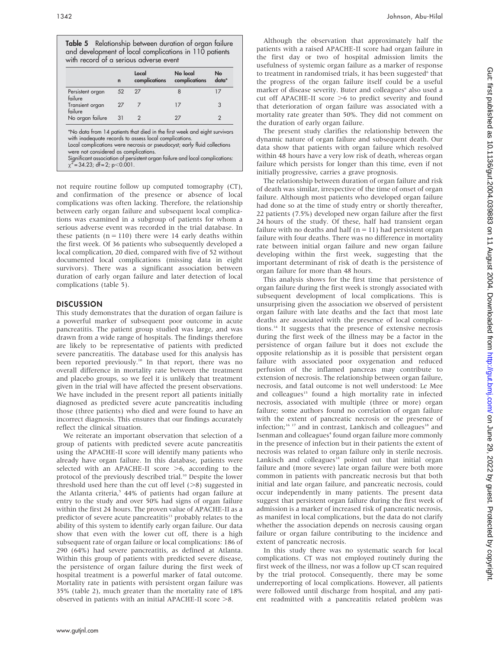Table 5 Relationship between duration of organ failure and development of local complications in 110 patients with record of a serious adverse event

| $\mathbf n$ | complications  | No local<br>complications | No<br>data*                                                               |
|-------------|----------------|---------------------------|---------------------------------------------------------------------------|
| 52          | 27             | 8                         | 17                                                                        |
| 27          | $\overline{7}$ | 17                        | 3                                                                         |
| 31          | $\overline{2}$ | 27                        | 2                                                                         |
|             |                |                           | *No data from 14 patients that died in the first week and eight survivors |

not require routine follow up computed tomography (CT), and confirmation of the presence or absence of local complications was often lacking. Therefore, the relationship between early organ failure and subsequent local complications was examined in a subgroup of patients for whom a serious adverse event was recorded in the trial database. In these patients  $(n = 110)$  there were 14 early deaths within the first week. Of 36 patients who subsequently developed a local complication, 20 died, compared with five of 52 without documented local complications (missing data in eight survivors). There was a significant association between duration of early organ failure and later detection of local complications (table 5).

#### DISCUSSION

This study demonstrates that the duration of organ failure is a powerful marker of subsequent poor outcome in acute pancreatitis. The patient group studied was large, and was drawn from a wide range of hospitals. The findings therefore are likely to be representative of patients with predicted severe pancreatitis. The database used for this analysis has been reported previously.<sup>10</sup> In that report, there was no overall difference in mortality rate between the treatment and placebo groups, so we feel it is unlikely that treatment given in the trial will have affected the present observations. We have included in the present report all patients initially diagnosed as predicted severe acute pancreatitis including those (three patients) who died and were found to have an incorrect diagnosis. This ensures that our findings accurately reflect the clinical situation.

We reiterate an important observation that selection of a group of patients with predicted severe acute pancreatitis using the APACHE-II score will identify many patients who already have organ failure. In this database, patients were selected with an APACHE-II score  $>6$ , according to the protocol of the previously described trial.<sup>10</sup> Despite the lower threshold used here than the cut off level  $(>=8)$  suggested in the Atlanta criteria,<sup>5</sup> 44% of patients had organ failure at entry to the study and over 50% had signs of organ failure within the first 24 hours. The proven value of APACHE-II as a predictor of severe acute pancreatitis<sup>13</sup> probably relates to the ability of this system to identify early organ failure. Our data show that even with the lower cut off, there is a high subsequent rate of organ failure or local complications: 186 of 290 (64%) had severe pancreatitis, as defined at Atlanta. Within this group of patients with predicted severe disease, the persistence of organ failure during the first week of hospital treatment is a powerful marker of fatal outcome. Mortality rate in patients with persistent organ failure was 35% (table 2), much greater than the mortality rate of 18% observed in patients with an initial APACHE-II score  $>8$ .

Although the observation that approximately half the patients with a raised APACHE-II score had organ failure in the first day or two of hospital admission limits the usefulness of systemic organ failure as a marker of response to treatment in randomised trials, it has been suggested<sup>6</sup> that the progress of the organ failure itself could be a useful marker of disease severity. Buter and colleagues<sup>6</sup> also used a cut off APACHE-II score  $>6$  to predict severity and found that deterioration of organ failure was associated with a mortality rate greater than 50%. They did not comment on the duration of early organ failure.

The present study clarifies the relationship between the dynamic nature of organ failure and subsequent death. Our data show that patients with organ failure which resolved within 48 hours have a very low risk of death, whereas organ failure which persists for longer than this time, even if not initially progressive, carries a grave prognosis.

The relationship between duration of organ failure and risk of death was similar, irrespective of the time of onset of organ failure. Although most patients who developed organ failure had done so at the time of study entry or shortly thereafter, 22 patients (7.5%) developed new organ failure after the first 24 hours of the study. Of these, half had transient organ failure with no deaths and half ( $n = 11$ ) had persistent organ failure with four deaths. There was no difference in mortality rate between initial organ failure and new organ failure developing within the first week, suggesting that the important determinant of risk of death is the persistence of organ failure for more than 48 hours.

This analysis shows for the first time that persistence of organ failure during the first week is strongly associated with subsequent development of local complications. This is unsurprising given the association we observed of persistent organ failure with late deaths and the fact that most late deaths are associated with the presence of local complications.14 It suggests that the presence of extensive necrosis during the first week of the illness may be a factor in the persistence of organ failure but it does not exclude the opposite relationship as it is possible that persistent organ failure with associated poor oxygenation and reduced perfusion of the inflamed pancreas may contribute to extension of necrosis. The relationship between organ failure, necrosis, and fatal outcome is not well understood: Le Mee and colleagues<sup>15</sup> found a high mortality rate in infected necrosis, associated with multiple (three or more) organ failure; some authors found no correlation of organ failure with the extent of pancreatic necrosis or the presence of infection;<sup>16 17</sup> and in contrast, Lankisch and colleagues<sup>18</sup> and Isenman and colleagues<sup>4</sup> found organ failure more commonly in the presence of infection but in their patients the extent of necrosis was related to organ failure only in sterile necrosis. Lankisch and colleagues $18$  pointed out that initial organ failure and (more severe) late organ failure were both more common in patients with pancreatic necrosis but that both initial and late organ failure, and pancreatic necrosis, could occur independently in many patients. The present data suggest that persistent organ failure during the first week of admission is a marker of increased risk of pancreatic necrosis, as manifest in local complications, but the data do not clarify whether the association depends on necrosis causing organ failure or organ failure contributing to the incidence and extent of pancreatic necrosis.

In this study there was no systematic search for local complications. CT was not employed routinely during the first week of the illness, nor was a follow up CT scan required by the trial protocol. Consequently, there may be some underreporting of local complications. However, all patients were followed until discharge from hospital, and any patient readmitted with a pancreatitis related problem was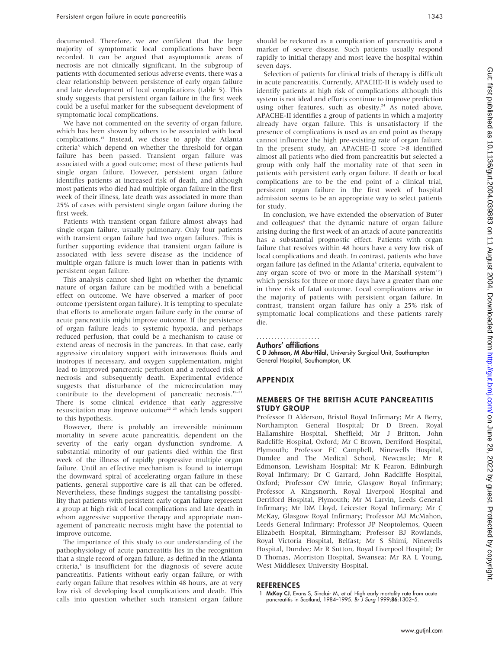documented. Therefore, we are confident that the large majority of symptomatic local complications have been recorded. It can be argued that asymptomatic areas of necrosis are not clinically significant. In the subgroup of patients with documented serious adverse events, there was a clear relationship between persistence of early organ failure and late development of local complications (table 5). This study suggests that persistent organ failure in the first week could be a useful marker for the subsequent development of symptomatic local complications.

We have not commented on the severity of organ failure, which has been shown by others to be associated with local complications.15 Instead, we chose to apply the Atlanta criteria<sup>5</sup> which depend on whether the threshold for organ failure has been passed. Transient organ failure was associated with a good outcome; most of these patients had single organ failure. However, persistent organ failure identifies patients at increased risk of death, and although most patients who died had multiple organ failure in the first week of their illness, late death was associated in more than 25% of cases with persistent single organ failure during the first week.

Patients with transient organ failure almost always had single organ failure, usually pulmonary. Only four patients with transient organ failure had two organ failures. This is further supporting evidence that transient organ failure is associated with less severe disease as the incidence of multiple organ failure is much lower than in patients with persistent organ failure.

This analysis cannot shed light on whether the dynamic nature of organ failure can be modified with a beneficial effect on outcome. We have observed a marker of poor outcome (persistent organ failure). It is tempting to speculate that efforts to ameliorate organ failure early in the course of acute pancreatitis might improve outcome. If the persistence of organ failure leads to systemic hypoxia, and perhaps reduced perfusion, that could be a mechanism to cause or extend areas of necrosis in the pancreas. In that case, early aggressive circulatory support with intravenous fluids and inotropes if necessary, and oxygen supplementation, might lead to improved pancreatic perfusion and a reduced risk of necrosis and subsequently death. Experimental evidence suggests that disturbance of the microcirculation may contribute to the development of pancreatic necrosis.<sup>19-2</sup> There is some clinical evidence that early aggressive resuscitation may improve outcome<sup>22</sup> <sup>23</sup> which lends support to this hypothesis.

However, there is probably an irreversible minimum mortality in severe acute pancreatitis, dependent on the severity of the early organ dysfunction syndrome. A substantial minority of our patients died within the first week of the illness of rapidly progressive multiple organ failure. Until an effective mechanism is found to interrupt the downward spiral of accelerating organ failure in these patients, general supportive care is all that can be offered. Nevertheless, these findings suggest the tantalising possibility that patients with persistent early organ failure represent a group at high risk of local complications and late death in whom aggressive supportive therapy and appropriate management of pancreatic necrosis might have the potential to improve outcome.

The importance of this study to our understanding of the pathophysiology of acute pancreatitis lies in the recognition that a single record of organ failure, as defined in the Atlanta criteria,<sup>5</sup> is insufficient for the diagnosis of severe acute pancreatitis. Patients without early organ failure, or with early organ failure that resolves within 48 hours, are at very low risk of developing local complications and death. This calls into question whether such transient organ failure should be reckoned as a complication of pancreatitis and a marker of severe disease. Such patients usually respond rapidly to initial therapy and most leave the hospital within seven days.

Selection of patients for clinical trials of therapy is difficult in acute pancreatitis. Currently, APACHE-II is widely used to identify patients at high risk of complications although this system is not ideal and efforts continue to improve prediction using other features, such as obesity.<sup>24</sup> As noted above, APACHE-II identifies a group of patients in which a majority already have organ failure. This is unsatisfactory if the presence of complications is used as an end point as therapy cannot influence the high pre-existing rate of organ failure. In the present study, an APACHE-II score  $>8$  identified almost all patients who died from pancreatitis but selected a group with only half the mortality rate of that seen in patients with persistent early organ failure. If death or local complications are to be the end point of a clinical trial, persistent organ failure in the first week of hospital admission seems to be an appropriate way to select patients for study.

In conclusion, we have extended the observation of Buter and colleagues<sup>6</sup> that the dynamic nature of organ failure arising during the first week of an attack of acute pancreatitis has a substantial prognostic effect. Patients with organ failure that resolves within 48 hours have a very low risk of local complications and death. In contrast, patients who have organ failure (as defined in the Atlanta<sup>5</sup> criteria, equivalent to any organ score of two or more in the Marshall system<sup>12</sup>) which persists for three or more days have a greater than one in three risk of fatal outcome. Local complications arise in the majority of patients with persistent organ failure. In contrast, transient organ failure has only a 25% risk of symptomatic local complications and these patients rarely die.

#### Authors' affiliations .....................

C D Johnson, M Abu-Hilal, University Surgical Unit, Southampton General Hospital, Southampton, UK

#### APPENDIX

#### MEMBERS OF THE BRITISH ACUTE PANCREATITIS STUDY GROUP

Professor D Alderson, Bristol Royal Infirmary; Mr A Berry, Northampton General Hospital; Dr D Breen, Royal Hallamshire Hospital, Sheffield; Mr J Britton, John Radcliffe Hospital, Oxford; Mr C Brown, Derriford Hospital, Plymouth; Professor FC Campbell, Ninewells Hospital, Dundee and The Medical School, Newcastle; Mr R Edmonson, Lewisham Hospital; Mr K Fearon, Edinburgh Royal Infirmary; Dr C Garrard, John Radcliffe Hospital, Oxford; Professor CW Imrie, Glasgow Royal Infirmary; Professor A Kingsnorth, Royal Liverpool Hospital and Derriford Hospital, Plymouth; Mr M Larvin, Leeds General Infirmary; Mr DM Lloyd, Leicester Royal Infirmary; Mr C McKay, Glasgow Royal Infirmary; Professor MJ McMahon, Leeds General Infirmary; Professor JP Neoptolemos, Queen Elizabeth Hospital, Birmingham; Professor BJ Rowlands, Royal Victoria Hospital, Belfast; Mr S Shimi, Ninewells Hospital, Dundee; Mr R Sutton, Royal Liverpool Hospital; Dr D Thomas, Morriston Hospital, Swansea; Mr RA L Young, West Middlesex University Hospital.

#### **REFERENCES**

1 McKay CJ, Evans S, Sinclair M, et al. High early mortality rate from acute pancreatitis in Scotland, 1984–1995. Br J Surg 1999;86:1302–5.